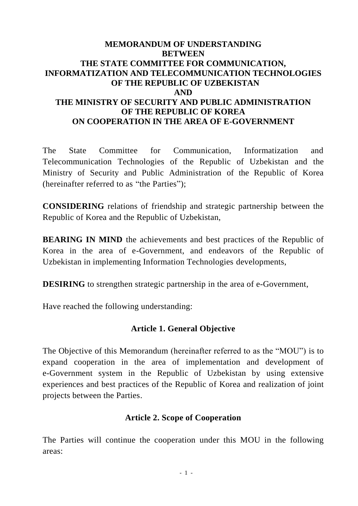## **MEMORANDUM OF UNDERSTANDING BETWEEN THE STATE COMMITTEE FOR COMMUNICATION, INFORMATIZATION AND TELECOMMUNICATION TECHNOLOGIES OF THE REPUBLIC OF UZBEKISTAN AND THE MINISTRY OF SECURITY AND PUBLIC ADMINISTRATION OF THE REPUBLIC OF KOREA ON COOPERATION IN THE AREA OF E-GOVERNMENT**

The State Committee for Communication, Informatization and Telecommunication Technologies of the Republic of Uzbekistan and the Ministry of Security and Public Administration of the Republic of Korea (hereinafter referred to as "the Parties");

**CONSIDERING** relations of friendship and strategic partnership between the Republic of Korea and the Republic of Uzbekistan,

**BEARING IN MIND** the achievements and best practices of the Republic of Korea in the area of e-Government, and endeavors of the Republic of Uzbekistan in implementing Information Technologies developments,

**DESIRING** to strengthen strategic partnership in the area of e-Government,

Have reached the following understanding:

# **Article 1. General Objective**

The Objective of this Memorandum (hereinafter referred to as the "MOU") is to expand cooperation in the area of implementation and development of e-Government system in the Republic of Uzbekistan by using extensive experiences and best practices of the Republic of Korea and realization of joint projects between the Parties.

# **Article 2. Scope of Cooperation**

The Parties will continue the cooperation under this MOU in the following areas: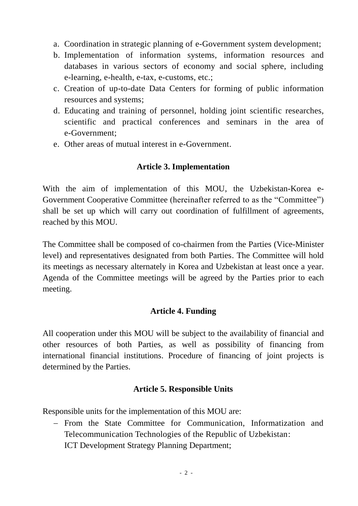- a. Coordination in strategic planning of e-Government system development;
- b. Implementation of information systems, information resources and databases in various sectors of economy and social sphere, including e-learning, e-health, e-tax, e-customs, etc.;
- c. Creation of up-to-date Data Centers for forming of public information resources and systems;
- d. Educating and training of personnel, holding joint scientific researches, scientific and practical conferences and seminars in the area of e-Government;
- e. Other areas of mutual interest in e-Government.

## **Article 3. Implementation**

With the aim of implementation of this MOU, the Uzbekistan-Korea e-Government Cooperative Committee (hereinafter referred to as the "Committee") shall be set up which will carry out coordination of fulfillment of agreements, reached by this MOU.

The Committee shall be composed of co-chairmen from the Parties (Vice-Minister level) and representatives designated from both Parties. The Committee will hold its meetings as necessary alternately in Korea and Uzbekistan at least once a year. Agenda of the Committee meetings will be agreed by the Parties prior to each meeting.

### **Article 4. Funding**

All cooperation under this MOU will be subject to the availability of financial and other resources of both Parties, as well as possibility of financing from international financial institutions. Procedure of financing of joint projects is determined by the Parties.

# **Article 5. Responsible Units**

Responsible units for the implementation of this MOU are:

 From the State Committee for Communication, Informatization and Telecommunication Technologies of the Republic of Uzbekistan: ICT Development Strategy Planning Department;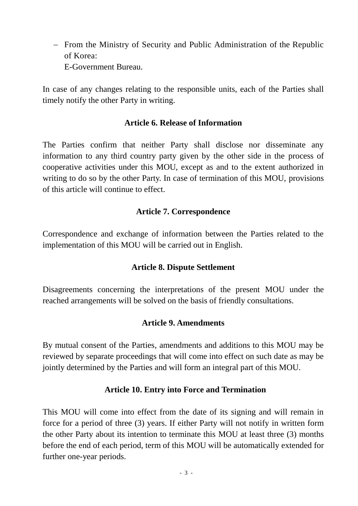- From the Ministry of Security and Public Administration of the Republic of Korea: E-Government Bureau.

In case of any changes relating to the responsible units, each of the Parties shall timely notify the other Party in writing.

## **Article 6. Release of Information**

The Parties confirm that neither Party shall disclose nor disseminate any information to any third country party given by the other side in the process of cooperative activities under this MOU, except as and to the extent authorized in writing to do so by the other Party. In case of termination of this MOU, provisions of this article will continue to effect.

## **Article 7. Correspondence**

Correspondence and exchange of information between the Parties related to the implementation of this MOU will be carried out in English.

### **Article 8. Dispute Settlement**

Disagreements concerning the interpretations of the present MOU under the reached arrangements will be solved on the basis of friendly consultations.

### **Article 9. Amendments**

By mutual consent of the Parties, amendments and additions to this MOU may be reviewed by separate proceedings that will come into effect on such date as may be jointly determined by the Parties and will form an integral part of this MOU.

### **Article 10. Entry into Force and Termination**

This MOU will come into effect from the date of its signing and will remain in force for a period of three (3) years. If either Party will not notify in written form the other Party about its intention to terminate this MOU at least three (3) months before the end of each period, term of this MOU will be automatically extended for further one-year periods.